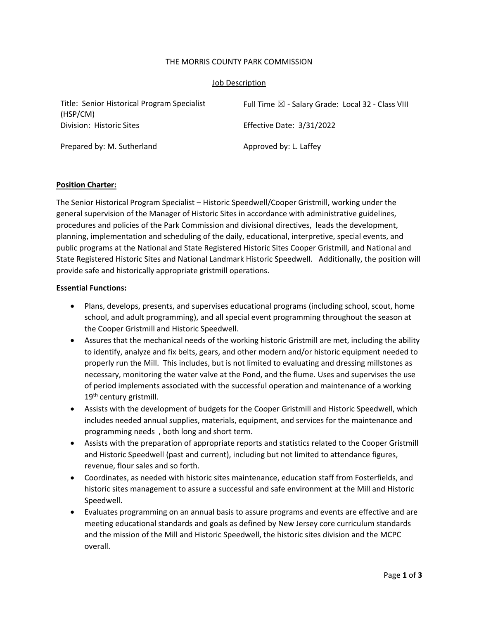### THE MORRIS COUNTY PARK COMMISSION

### Job Description

Title: Senior Historical Program Specialist (HSP/CM) Full Time  $\boxtimes$  - Salary Grade: Local 32 - Class VIII Division: Historic Sites Effective Date: 3/31/2022 Prepared by: M. Sutherland Approved by: L. Laffey

### **Position Charter:**

The Senior Historical Program Specialist – Historic Speedwell/Cooper Gristmill, working under the general supervision of the Manager of Historic Sites in accordance with administrative guidelines, procedures and policies of the Park Commission and divisional directives, leads the development, planning, implementation and scheduling of the daily, educational, interpretive, special events, and public programs at the National and State Registered Historic Sites Cooper Gristmill, and National and State Registered Historic Sites and National Landmark Historic Speedwell. Additionally, the position will provide safe and historically appropriate gristmill operations.

#### **Essential Functions:**

- Plans, develops, presents, and supervises educational programs (including school, scout, home school, and adult programming), and all special event programming throughout the season at the Cooper Gristmill and Historic Speedwell.
- Assures that the mechanical needs of the working historic Gristmill are met, including the ability to identify, analyze and fix belts, gears, and other modern and/or historic equipment needed to properly run the Mill. This includes, but is not limited to evaluating and dressing millstones as necessary, monitoring the water valve at the Pond, and the flume. Uses and supervises the use of period implements associated with the successful operation and maintenance of a working 19<sup>th</sup> century gristmill.
- Assists with the development of budgets for the Cooper Gristmill and Historic Speedwell, which includes needed annual supplies, materials, equipment, and services for the maintenance and programming needs , both long and short term.
- Assists with the preparation of appropriate reports and statistics related to the Cooper Gristmill and Historic Speedwell (past and current), including but not limited to attendance figures, revenue, flour sales and so forth.
- Coordinates, as needed with historic sites maintenance, education staff from Fosterfields, and historic sites management to assure a successful and safe environment at the Mill and Historic Speedwell.
- Evaluates programming on an annual basis to assure programs and events are effective and are meeting educational standards and goals as defined by New Jersey core curriculum standards and the mission of the Mill and Historic Speedwell, the historic sites division and the MCPC overall.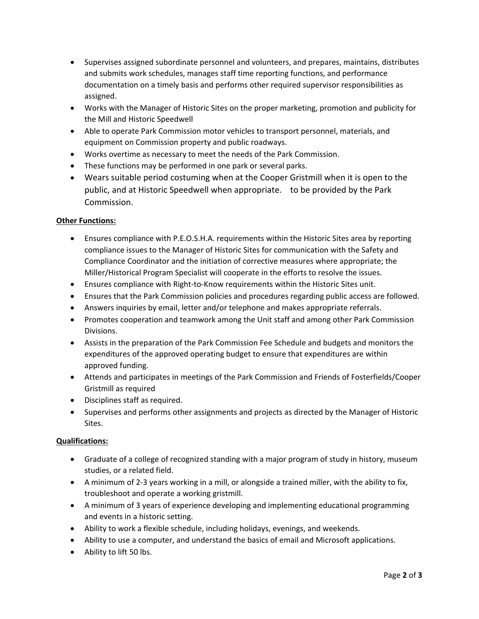- Supervises assigned subordinate personnel and volunteers, and prepares, maintains, distributes and submits work schedules, manages staff time reporting functions, and performance documentation on a timely basis and performs other required supervisor responsibilities as assigned.
- Works with the Manager of Historic Sites on the proper marketing, promotion and publicity for the Mill and Historic Speedwell
- Able to operate Park Commission motor vehicles to transport personnel, materials, and equipment on Commission property and public roadways.
- Works overtime as necessary to meet the needs of the Park Commission.
- These functions may be performed in one park or several parks.
- Wears suitable period costuming when at the Cooper Gristmill when it is open to the public, and at Historic Speedwell when appropriate. to be provided by the Park Commission.

# **Other Functions:**

- Ensures compliance with P.E.O.S.H.A. requirements within the Historic Sites area by reporting compliance issues to the Manager of Historic Sites for communication with the Safety and Compliance Coordinator and the initiation of corrective measures where appropriate; the Miller/Historical Program Specialist will cooperate in the efforts to resolve the issues.
- Ensures compliance with Right‐to‐Know requirements within the Historic Sites unit.
- Ensures that the Park Commission policies and procedures regarding public access are followed.
- Answers inquiries by email, letter and/or telephone and makes appropriate referrals.
- Promotes cooperation and teamwork among the Unit staff and among other Park Commission Divisions.
- Assists in the preparation of the Park Commission Fee Schedule and budgets and monitors the expenditures of the approved operating budget to ensure that expenditures are within approved funding.
- Attends and participates in meetings of the Park Commission and Friends of Fosterfields/Cooper Gristmill as required
- Disciplines staff as required.
- Supervises and performs other assignments and projects as directed by the Manager of Historic Sites.

# **Qualifications:**

- Graduate of a college of recognized standing with a major program of study in history, museum studies, or a related field.
- A minimum of 2‐3 years working in a mill, or alongside a trained miller, with the ability to fix, troubleshoot and operate a working gristmill.
- A minimum of 3 years of experience developing and implementing educational programming and events in a historic setting.
- Ability to work a flexible schedule, including holidays, evenings, and weekends.
- Ability to use a computer, and understand the basics of email and Microsoft applications.
- Ability to lift 50 lbs.